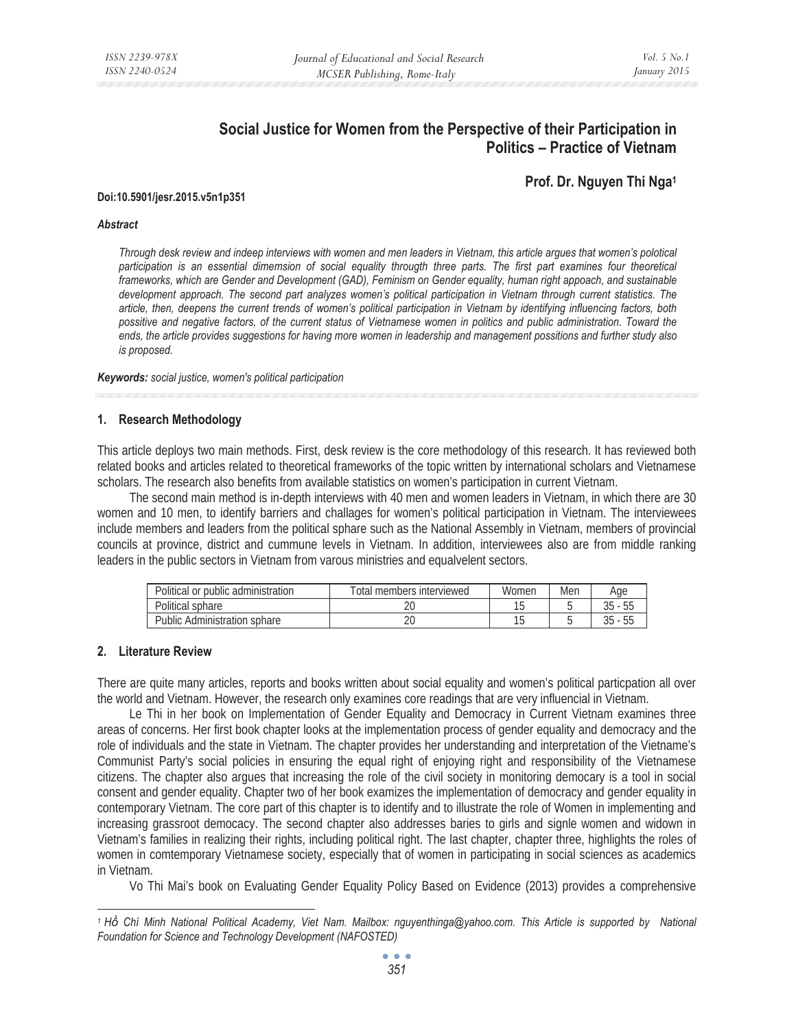# **Social Justice for Women from the Perspective of their Participation in Politics – Practice of Vietnam**

**Prof. Dr. Nguyen Thi Nga1 Doi:10.5901/jesr.2015.v5n1p351** 

#### *Abstract*

*Through desk review and indeep interviews with women and men leaders in Vietnam, this article argues that women's polotical participation is an essential dimemsion of social equality througth three parts. The first part examines four theoretical frameworks, which are Gender and Development (GAD), Feminism on Gender equality, human right appoach, and sustainable*  development approach. The second part analyzes women's political participation in Vietnam through current statistics. The *article, then, deepens the current trends of women's political participation in Vietnam by identifying influencing factors, both possitive and negative factors, of the current status of Vietnamese women in politics and public administration. Toward the ends, the article provides suggestions for having more women in leadership and management possitions and further study also is proposed.* 

*Keywords: social justice, women's political participation* 

# **1. Research Methodology**

This article deploys two main methods. First, desk review is the core methodology of this research. It has reviewed both related books and articles related to theoretical frameworks of the topic written by international scholars and Vietnamese scholars. The research also benefits from available statistics on women's participation in current Vietnam.

The second main method is in-depth interviews with 40 men and women leaders in Vietnam, in which there are 30 women and 10 men, to identify barriers and challages for women's political participation in Vietnam. The interviewees include members and leaders from the political sphare such as the National Assembly in Vietnam, members of provincial councils at province, district and cummune levels in Vietnam. In addition, interviewees also are from middle ranking leaders in the public sectors in Vietnam from varous ministries and equalvelent sectors.

| Political or public administration | Total members interviewed | Women | Mer | Aae |
|------------------------------------|---------------------------|-------|-----|-----|
| Political sphare                   |                           |       |     | 55  |
| Public.<br>Administration sphare   |                           |       |     | 55  |

# **2. Literature Review**

There are quite many articles, reports and books written about social equality and women's political particpation all over the world and Vietnam. However, the research only examines core readings that are very influencial in Vietnam.

Le Thi in her book on Implementation of Gender Equality and Democracy in Current Vietnam examines three areas of concerns. Her first book chapter looks at the implementation process of gender equality and democracy and the role of individuals and the state in Vietnam. The chapter provides her understanding and interpretation of the Vietname's Communist Party's social policies in ensuring the equal right of enjoying right and responsibility of the Vietnamese citizens. The chapter also argues that increasing the role of the civil society in monitoring democary is a tool in social consent and gender equality. Chapter two of her book examizes the implementation of democracy and gender equality in contemporary Vietnam. The core part of this chapter is to identify and to illustrate the role of Women in implementing and increasing grassroot democacy. The second chapter also addresses baries to girls and signle women and widown in Vietnam's families in realizing their rights, including political right. The last chapter, chapter three, highlights the roles of women in comtemporary Vietnamese society, especially that of women in participating in social sciences as academics in Vietnam.

Vo Thi Mai's book on Evaluating Gender Equality Policy Based on Evidence (2013) provides a comprehensive

*<sup>1</sup> Hͫ Chí Minh National Political Academy, Viet Nam. Mailbox: nguyenthinga@yahoo.com. This Article is supported by National Foundation for Science and Technology Development (NAFOSTED)*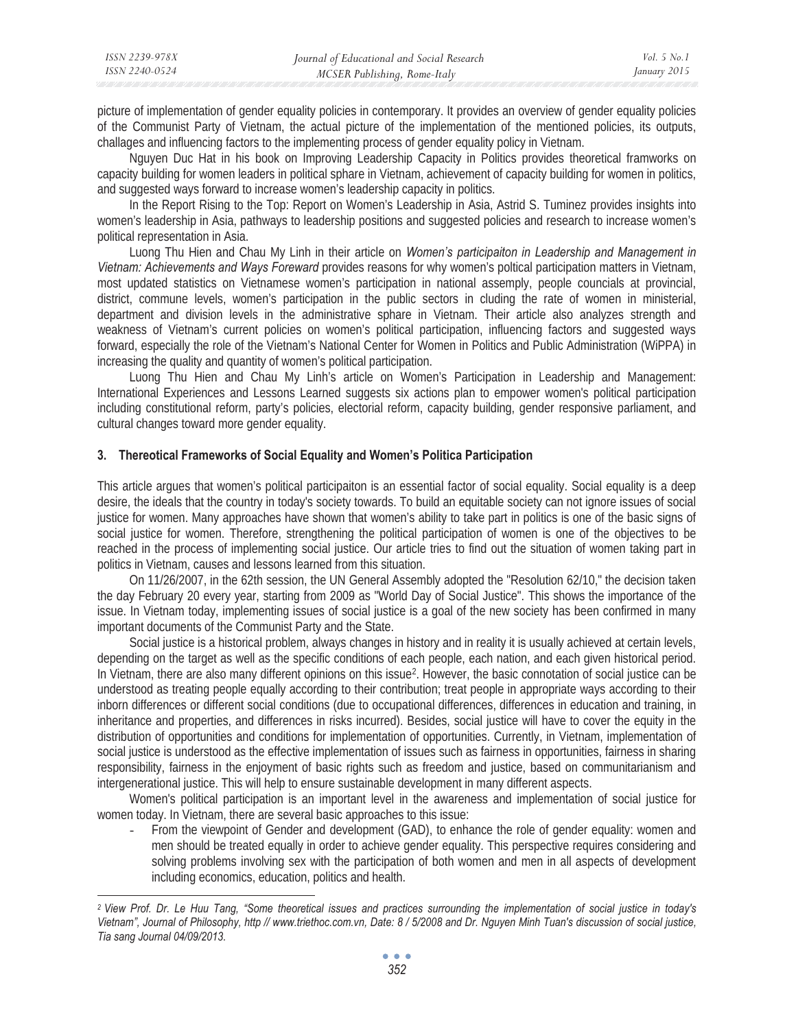| ISSN 2240-0524 | ISSN 2239-978X | Journal of Educational and Social Research | Vol 5 No 1   |
|----------------|----------------|--------------------------------------------|--------------|
|                |                | MCSER Publishing, Rome-Italy               | January 2015 |

picture of implementation of gender equality policies in contemporary. It provides an overview of gender equality policies of the Communist Party of Vietnam, the actual picture of the implementation of the mentioned policies, its outputs, challages and influencing factors to the implementing process of gender equality policy in Vietnam.

Nguyen Duc Hat in his book on Improving Leadership Capacity in Politics provides theoretical framworks on capacity building for women leaders in political sphare in Vietnam, achievement of capacity building for women in politics, and suggested ways forward to increase women's leadership capacity in politics.

In the Report Rising to the Top: Report on Women's Leadership in Asia, Astrid S. Tuminez provides insights into women's leadership in Asia, pathways to leadership positions and suggested policies and research to increase women's political representation in Asia.

Luong Thu Hien and Chau My Linh in their article on *Women's participaiton in Leadership and Management in Vietnam: Achievements and Ways Foreward* provides reasons for why women's poltical participation matters in Vietnam, most updated statistics on Vietnamese women's participation in national assemply, people councials at provincial, district, commune levels, women's participation in the public sectors in cluding the rate of women in ministerial, department and division levels in the administrative sphare in Vietnam. Their article also analyzes strength and weakness of Vietnam's current policies on women's political participation, influencing factors and suggested ways forward, especially the role of the Vietnam's National Center for Women in Politics and Public Administration (WiPPA) in increasing the quality and quantity of women's political participation.

Luong Thu Hien and Chau My Linh's article on Women's Participation in Leadership and Management: International Experiences and Lessons Learned suggests six actions plan to empower women's political participation including constitutional reform, party's policies, electorial reform, capacity building, gender responsive parliament, and cultural changes toward more gender equality.

#### **3. Thereotical Frameworks of Social Equality and Women's Politica Participation**

This article argues that women's political participaiton is an essential factor of social equality. Social equality is a deep desire, the ideals that the country in today's society towards. To build an equitable society can not ignore issues of social justice for women. Many approaches have shown that women's ability to take part in politics is one of the basic signs of social justice for women. Therefore, strengthening the political participation of women is one of the objectives to be reached in the process of implementing social justice. Our article tries to find out the situation of women taking part in politics in Vietnam, causes and lessons learned from this situation.

On 11/26/2007, in the 62th session, the UN General Assembly adopted the "Resolution 62/10," the decision taken the day February 20 every year, starting from 2009 as "World Day of Social Justice". This shows the importance of the issue. In Vietnam today, implementing issues of social justice is a goal of the new society has been confirmed in many important documents of the Communist Party and the State.

Social justice is a historical problem, always changes in history and in reality it is usually achieved at certain levels, depending on the target as well as the specific conditions of each people, each nation, and each given historical period. In Vietnam, there are also many different opinions on this issue<sup>2</sup>. However, the basic connotation of social justice can be understood as treating people equally according to their contribution; treat people in appropriate ways according to their inborn differences or different social conditions (due to occupational differences, differences in education and training, in inheritance and properties, and differences in risks incurred). Besides, social justice will have to cover the equity in the distribution of opportunities and conditions for implementation of opportunities. Currently, in Vietnam, implementation of social justice is understood as the effective implementation of issues such as fairness in opportunities, fairness in sharing responsibility, fairness in the enjoyment of basic rights such as freedom and justice, based on communitarianism and intergenerational justice. This will help to ensure sustainable development in many different aspects.

Women's political participation is an important level in the awareness and implementation of social justice for women today. In Vietnam, there are several basic approaches to this issue:

- From the viewpoint of Gender and development (GAD), to enhance the role of gender equality: women and men should be treated equally in order to achieve gender equality. This perspective requires considering and solving problems involving sex with the participation of both women and men in all aspects of development including economics, education, politics and health.

*<sup>2</sup> View Prof. Dr. Le Huu Tang, "Some theoretical issues and practices surrounding the implementation of social justice in today's Vietnam", Journal of Philosophy, http // www.triethoc.com.vn, Date: 8 / 5/2008 and Dr. Nguyen Minh Tuan's discussion of social justice, Tia sang Journal 04/09/2013.*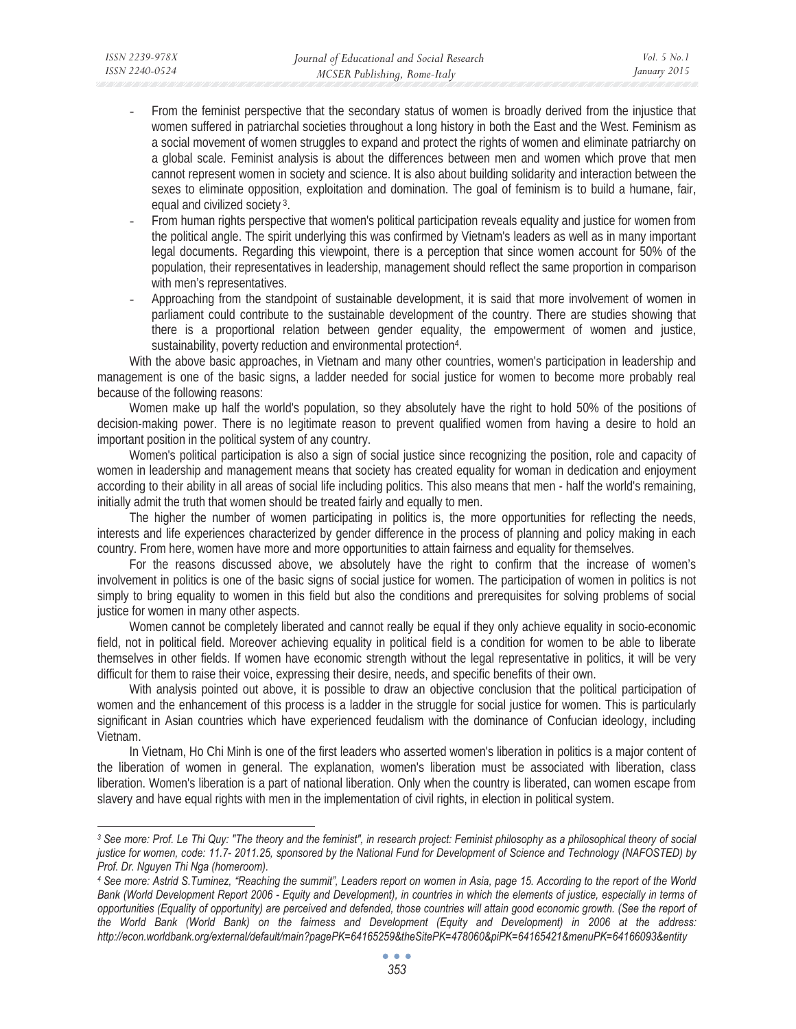- From the feminist perspective that the secondary status of women is broadly derived from the injustice that women suffered in patriarchal societies throughout a long history in both the East and the West. Feminism as a social movement of women struggles to expand and protect the rights of women and eliminate patriarchy on a global scale. Feminist analysis is about the differences between men and women which prove that men cannot represent women in society and science. It is also about building solidarity and interaction between the sexes to eliminate opposition, exploitation and domination. The goal of feminism is to build a humane, fair, equal and civilized society 3.
- From human rights perspective that women's political participation reveals equality and justice for women from the political angle. The spirit underlying this was confirmed by Vietnam's leaders as well as in many important legal documents. Regarding this viewpoint, there is a perception that since women account for 50% of the population, their representatives in leadership, management should reflect the same proportion in comparison with men's representatives.
- Approaching from the standpoint of sustainable development, it is said that more involvement of women in parliament could contribute to the sustainable development of the country. There are studies showing that there is a proportional relation between gender equality, the empowerment of women and justice, sustainability, poverty reduction and environmental protection4.

With the above basic approaches, in Vietnam and many other countries, women's participation in leadership and management is one of the basic signs, a ladder needed for social justice for women to become more probably real because of the following reasons:

Women make up half the world's population, so they absolutely have the right to hold 50% of the positions of decision-making power. There is no legitimate reason to prevent qualified women from having a desire to hold an important position in the political system of any country.

Women's political participation is also a sign of social justice since recognizing the position, role and capacity of women in leadership and management means that society has created equality for woman in dedication and enjoyment according to their ability in all areas of social life including politics. This also means that men - half the world's remaining, initially admit the truth that women should be treated fairly and equally to men.

The higher the number of women participating in politics is, the more opportunities for reflecting the needs, interests and life experiences characterized by gender difference in the process of planning and policy making in each country. From here, women have more and more opportunities to attain fairness and equality for themselves.

For the reasons discussed above, we absolutely have the right to confirm that the increase of women's involvement in politics is one of the basic signs of social justice for women. The participation of women in politics is not simply to bring equality to women in this field but also the conditions and prerequisites for solving problems of social justice for women in many other aspects.

Women cannot be completely liberated and cannot really be equal if they only achieve equality in socio-economic field, not in political field. Moreover achieving equality in political field is a condition for women to be able to liberate themselves in other fields. If women have economic strength without the legal representative in politics, it will be very difficult for them to raise their voice, expressing their desire, needs, and specific benefits of their own.

With analysis pointed out above, it is possible to draw an objective conclusion that the political participation of women and the enhancement of this process is a ladder in the struggle for social justice for women. This is particularly significant in Asian countries which have experienced feudalism with the dominance of Confucian ideology, including Vietnam.

In Vietnam, Ho Chi Minh is one of the first leaders who asserted women's liberation in politics is a major content of the liberation of women in general. The explanation, women's liberation must be associated with liberation, class liberation. Women's liberation is a part of national liberation. Only when the country is liberated, can women escape from slavery and have equal rights with men in the implementation of civil rights, in election in political system.

*<sup>3</sup> See more: Prof. Le Thi Quy: "The theory and the feminist", in research project: Feminist philosophy as a philosophical theory of social justice for women, code: 11.7- 2011.25, sponsored by the National Fund for Development of Science and Technology (NAFOSTED) by Prof. Dr. Nguyen Thi Nga (homeroom).* 

*<sup>4</sup> See more: Astrid S.Tuminez, "Reaching the summit", Leaders report on women in Asia, page 15. According to the report of the World*  Bank (World Development Report 2006 - Equity and Development), in countries in which the elements of justice, especially in terms of *opportunities (Equality of opportunity) are perceived and defended, those countries will attain good economic growth. (See the report of the World Bank (World Bank) on the fairness and Development (Equity and Development) in 2006 at the address: http://econ.worldbank.org/external/default/main?pagePK=64165259&theSitePK=478060&piPK=64165421&menuPK=64166093&entity*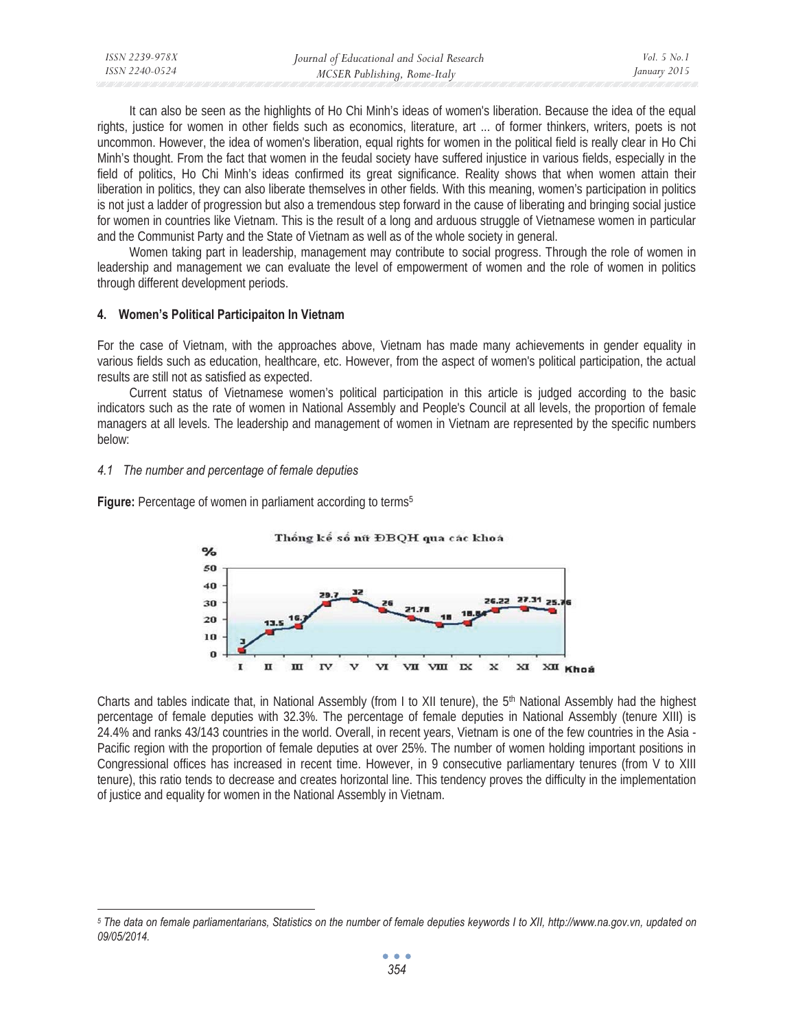| ISSN 2239-978X | Journal of Educational and Social Research | <i>Vol.</i> 5 $No.$ |
|----------------|--------------------------------------------|---------------------|
| ISSN 2240-0524 | MCSER Publishing, Rome-Italy               | January 2015        |

It can also be seen as the highlights of Ho Chi Minh's ideas of women's liberation. Because the idea of the equal rights, justice for women in other fields such as economics, literature, art ... of former thinkers, writers, poets is not uncommon. However, the idea of women's liberation, equal rights for women in the political field is really clear in Ho Chi Minh's thought. From the fact that women in the feudal society have suffered injustice in various fields, especially in the field of politics, Ho Chi Minh's ideas confirmed its great significance. Reality shows that when women attain their liberation in politics, they can also liberate themselves in other fields. With this meaning, women's participation in politics is not just a ladder of progression but also a tremendous step forward in the cause of liberating and bringing social justice for women in countries like Vietnam. This is the result of a long and arduous struggle of Vietnamese women in particular and the Communist Party and the State of Vietnam as well as of the whole society in general.

Women taking part in leadership, management may contribute to social progress. Through the role of women in leadership and management we can evaluate the level of empowerment of women and the role of women in politics through different development periods.

#### **4. Women's Political Participaiton In Vietnam**

For the case of Vietnam, with the approaches above, Vietnam has made many achievements in gender equality in various fields such as education, healthcare, etc. However, from the aspect of women's political participation, the actual results are still not as satisfied as expected.

Current status of Vietnamese women's political participation in this article is judged according to the basic indicators such as the rate of women in National Assembly and People's Council at all levels, the proportion of female managers at all levels. The leadership and management of women in Vietnam are represented by the specific numbers below:

#### *4.1 The number and percentage of female deputies*

**Figure:** Percentage of women in parliament according to terms<sup>5</sup>



Charts and tables indicate that, in National Assembly (from I to XII tenure), the  $5<sup>th</sup>$  National Assembly had the highest percentage of female deputies with 32.3%. The percentage of female deputies in National Assembly (tenure XIII) is 24.4% and ranks 43/143 countries in the world. Overall, in recent years, Vietnam is one of the few countries in the Asia - Pacific region with the proportion of female deputies at over 25%. The number of women holding important positions in Congressional offices has increased in recent time. However, in 9 consecutive parliamentary tenures (from V to XIII tenure), this ratio tends to decrease and creates horizontal line. This tendency proves the difficulty in the implementation of justice and equality for women in the National Assembly in Vietnam.

*<sup>5</sup> The data on female parliamentarians, Statistics on the number of female deputies keywords I to XII, http://www.na.gov.vn, updated on 09/05/2014.*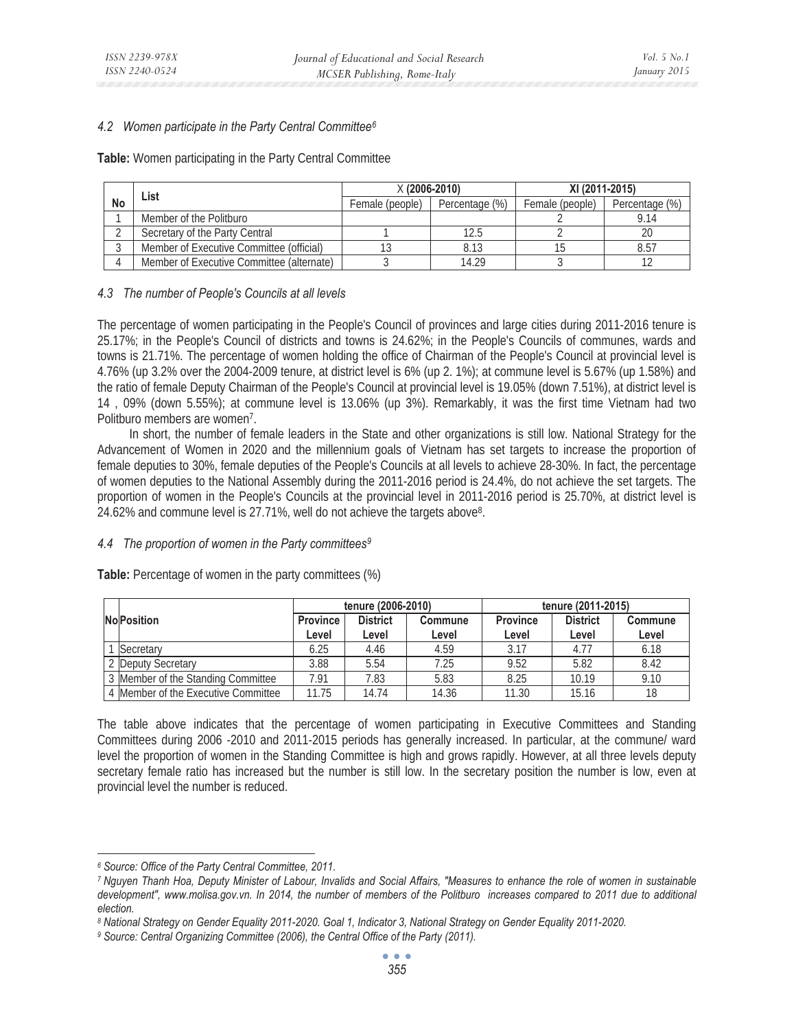# *4.2 Women participate in the Party Central Committee6*

**Table:** Women participating in the Party Central Committee

| List |                                           | $X(2006-2010)$  |                | XI (2011-2015)  |                |  |
|------|-------------------------------------------|-----------------|----------------|-----------------|----------------|--|
| No   |                                           | Female (people) | Percentage (%) | Female (people) | Percentage (%) |  |
|      | Member of the Politburo                   |                 |                |                 |                |  |
|      | Secretary of the Party Central            |                 |                |                 |                |  |
|      | Member of Executive Committee (official)  |                 | 8.13           |                 | 8.57           |  |
|      | Member of Executive Committee (alternate) |                 | 14 29          |                 |                |  |

# *4.3 The number of People's Councils at all levels*

The percentage of women participating in the People's Council of provinces and large cities during 2011-2016 tenure is 25.17%; in the People's Council of districts and towns is 24.62%; in the People's Councils of communes, wards and towns is 21.71%. The percentage of women holding the office of Chairman of the People's Council at provincial level is 4.76% (up 3.2% over the 2004-2009 tenure, at district level is 6% (up 2. 1%); at commune level is 5.67% (up 1.58%) and the ratio of female Deputy Chairman of the People's Council at provincial level is 19.05% (down 7.51%), at district level is 14 , 09% (down 5.55%); at commune level is 13.06% (up 3%). Remarkably, it was the first time Vietnam had two Politburo members are women<sup>7</sup>.

In short, the number of female leaders in the State and other organizations is still low. National Strategy for the Advancement of Women in 2020 and the millennium goals of Vietnam has set targets to increase the proportion of female deputies to 30%, female deputies of the People's Councils at all levels to achieve 28-30%. In fact, the percentage of women deputies to the National Assembly during the 2011-2016 period is 24.4%, do not achieve the set targets. The proportion of women in the People's Councils at the provincial level in 2011-2016 period is 25.70%, at district level is 24.62% and commune level is 27.71%, well do not achieve the targets above8.

# *4.4 The proportion of women in the Party committees9*

|                                     |                          | tenure (2006-2010)       |                  | tenure (2011-2015)       |                          |                  |
|-------------------------------------|--------------------------|--------------------------|------------------|--------------------------|--------------------------|------------------|
| <b>NoPosition</b>                   | <b>Province</b><br>Level | <b>District</b><br>Level | Commune<br>Level | <b>Province</b><br>Level | <b>District</b><br>Level | Commune<br>Level |
| Secretary                           | 6.25                     | 4.46                     | 4.59             | 3.17                     | 4.77                     | 6.18             |
| 2 Deputy Secretary                  | 3.88                     | 5.54                     | 7.25             | 9.52                     | 5.82                     | 8.42             |
| 3 Member of the Standing Committee  | 7.91                     | 7.83                     | 5.83             | 8.25                     | 10.19                    | 9.10             |
| 4 Member of the Executive Committee | 11.75                    | 14.74                    | 14.36            | 11.30                    | 15.16                    | 18               |

**Table:** Percentage of women in the party committees (%)

The table above indicates that the percentage of women participating in Executive Committees and Standing Committees during 2006 -2010 and 2011-2015 periods has generally increased. In particular, at the commune/ ward level the proportion of women in the Standing Committee is high and grows rapidly. However, at all three levels deputy secretary female ratio has increased but the number is still low. In the secretary position the number is low, even at provincial level the number is reduced.

<sup>&</sup>lt;sup>6</sup> Source: Office of the Party Central Committee, 2011.<br><sup>7</sup> Nguyen Thanh Hoa, Deputy Minister of Labour, Invalids and Social Affairs, "Measures to enhance the role of women in sustainable development", www.molisa.gov.vn. In 2014, the number of members of the Politburo increases compared to 2011 due to additional *election.* 

*<sup>8</sup> National Strategy on Gender Equality 2011-2020. Goal 1, Indicator 3, National Strategy on Gender Equality 2011-2020. 9 Source: Central Organizing Committee (2006), the Central Office of the Party (2011).*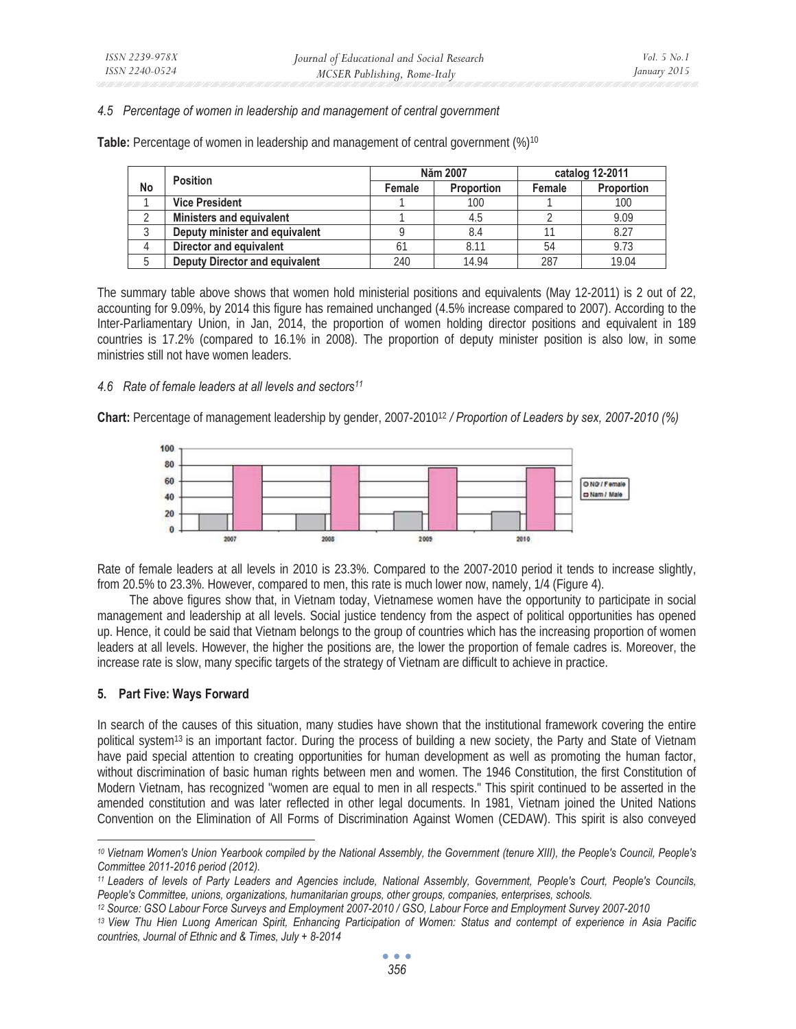### *4.5 Percentage of women in leadership and management of central government*

**Table:** Percentage of women in leadership and management of central government (%)10

|    | <b>Position</b>                       |        | Năm 2007          | catalog 12-2011 |            |
|----|---------------------------------------|--------|-------------------|-----------------|------------|
| No |                                       | Female | <b>Proportion</b> | Female          | Proportion |
|    | <b>Vice President</b>                 |        | 100               |                 | 100        |
|    | <b>Ministers and equivalent</b>       |        | 4.5               |                 | 9.09       |
|    | Deputy minister and equivalent        |        | 8.4               |                 | 8.27       |
|    | Director and equivalent               |        | 8.11              | 54              | 9.73       |
|    | <b>Deputy Director and equivalent</b> | 240    | 14.94             | 287             | 19.04      |

The summary table above shows that women hold ministerial positions and equivalents (May 12-2011) is 2 out of 22, accounting for 9.09%, by 2014 this figure has remained unchanged (4.5% increase compared to 2007). According to the Inter-Parliamentary Union, in Jan, 2014, the proportion of women holding director positions and equivalent in 189 countries is 17.2% (compared to 16.1% in 2008). The proportion of deputy minister position is also low, in some ministries still not have women leaders.

#### *4.6 Rate of female leaders at all levels and sectors11*

**Chart:** Percentage of management leadership by gender, 2007-201012 */ Proportion of Leaders by sex, 2007-2010 (%)* 



Rate of female leaders at all levels in 2010 is 23.3%. Compared to the 2007-2010 period it tends to increase slightly, from 20.5% to 23.3%. However, compared to men, this rate is much lower now, namely, 1/4 (Figure 4).

The above figures show that, in Vietnam today, Vietnamese women have the opportunity to participate in social management and leadership at all levels. Social justice tendency from the aspect of political opportunities has opened up. Hence, it could be said that Vietnam belongs to the group of countries which has the increasing proportion of women leaders at all levels. However, the higher the positions are, the lower the proportion of female cadres is. Moreover, the increase rate is slow, many specific targets of the strategy of Vietnam are difficult to achieve in practice.

# **5. Part Five: Ways Forward**

In search of the causes of this situation, many studies have shown that the institutional framework covering the entire political system13 is an important factor. During the process of building a new society, the Party and State of Vietnam have paid special attention to creating opportunities for human development as well as promoting the human factor, without discrimination of basic human rights between men and women. The 1946 Constitution, the first Constitution of Modern Vietnam, has recognized "women are equal to men in all respects." This spirit continued to be asserted in the amended constitution and was later reflected in other legal documents. In 1981, Vietnam joined the United Nations Convention on the Elimination of All Forms of Discrimination Against Women (CEDAW). This spirit is also conveyed

*<sup>10</sup> Vietnam Women's Union Yearbook compiled by the National Assembly, the Government (tenure XIII), the People's Council, People's Committee 2011-2016 period (2012).* 

*<sup>11</sup> Leaders of levels of Party Leaders and Agencies include, National Assembly, Government, People's Court, People's Councils,*  People's Committee, unions, organizations, humanitarian groups, other groups, companies, enterprises, schools.<br><sup>12</sup> Source: GSO Labour Force Surveys and Employment 2007-2010 / GSO, Labour Force and Employment Survey 2007-2

*<sup>13</sup> View Thu Hien Luong American Spirit, Enhancing Participation of Women: Status and contempt of experience in Asia Pacific countries, Journal of Ethnic and & Times, July + 8-2014*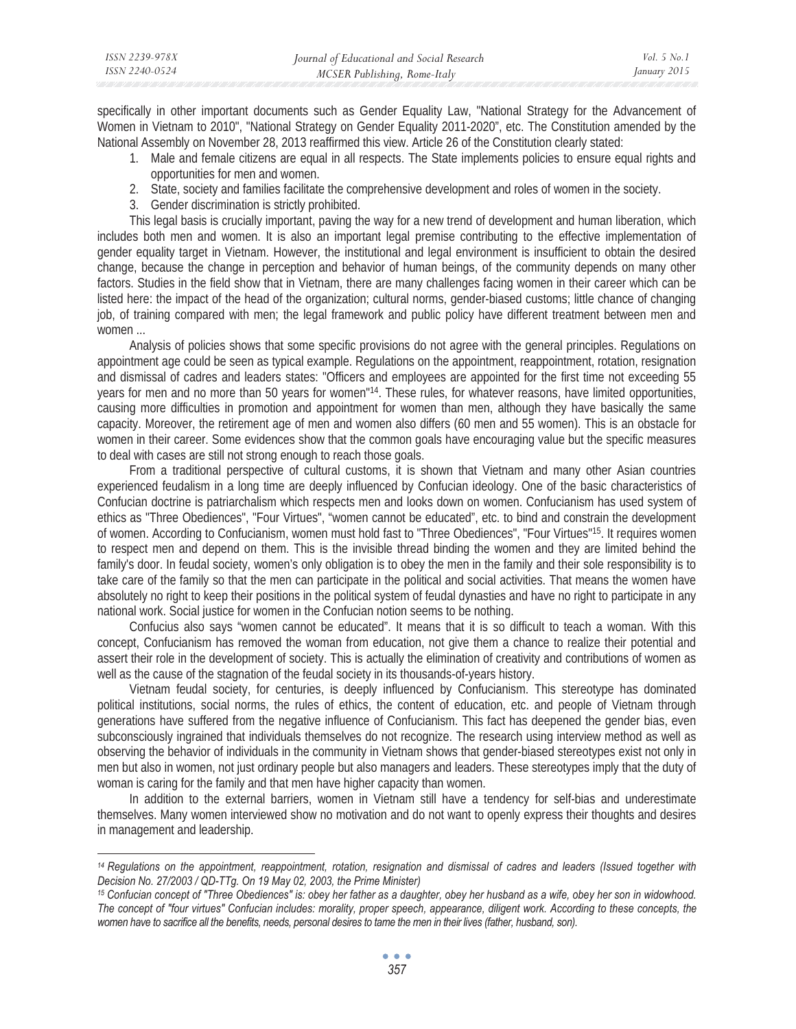specifically in other important documents such as Gender Equality Law, "National Strategy for the Advancement of Women in Vietnam to 2010", "National Strategy on Gender Equality 2011-2020", etc. The Constitution amended by the National Assembly on November 28, 2013 reaffirmed this view. Article 26 of the Constitution clearly stated:

- 1. Male and female citizens are equal in all respects. The State implements policies to ensure equal rights and opportunities for men and women.
- 2. State, society and families facilitate the comprehensive development and roles of women in the society.
- 3. Gender discrimination is strictly prohibited.

This legal basis is crucially important, paving the way for a new trend of development and human liberation, which includes both men and women. It is also an important legal premise contributing to the effective implementation of gender equality target in Vietnam. However, the institutional and legal environment is insufficient to obtain the desired change, because the change in perception and behavior of human beings, of the community depends on many other factors. Studies in the field show that in Vietnam, there are many challenges facing women in their career which can be listed here: the impact of the head of the organization; cultural norms, gender-biased customs; little chance of changing job, of training compared with men; the legal framework and public policy have different treatment between men and women ...

Analysis of policies shows that some specific provisions do not agree with the general principles. Regulations on appointment age could be seen as typical example. Regulations on the appointment, reappointment, rotation, resignation and dismissal of cadres and leaders states: "Officers and employees are appointed for the first time not exceeding 55 years for men and no more than 50 years for women"14. These rules, for whatever reasons, have limited opportunities, causing more difficulties in promotion and appointment for women than men, although they have basically the same capacity. Moreover, the retirement age of men and women also differs (60 men and 55 women). This is an obstacle for women in their career. Some evidences show that the common goals have encouraging value but the specific measures to deal with cases are still not strong enough to reach those goals.

From a traditional perspective of cultural customs, it is shown that Vietnam and many other Asian countries experienced feudalism in a long time are deeply influenced by Confucian ideology. One of the basic characteristics of Confucian doctrine is patriarchalism which respects men and looks down on women. Confucianism has used system of ethics as "Three Obediences", "Four Virtues", "women cannot be educated", etc. to bind and constrain the development of women. According to Confucianism, women must hold fast to "Three Obediences", "Four Virtues"15. It requires women to respect men and depend on them. This is the invisible thread binding the women and they are limited behind the family's door. In feudal society, women's only obligation is to obey the men in the family and their sole responsibility is to take care of the family so that the men can participate in the political and social activities. That means the women have absolutely no right to keep their positions in the political system of feudal dynasties and have no right to participate in any national work. Social justice for women in the Confucian notion seems to be nothing.

Confucius also says "women cannot be educated". It means that it is so difficult to teach a woman. With this concept, Confucianism has removed the woman from education, not give them a chance to realize their potential and assert their role in the development of society. This is actually the elimination of creativity and contributions of women as well as the cause of the stagnation of the feudal society in its thousands-of-years history.

Vietnam feudal society, for centuries, is deeply influenced by Confucianism. This stereotype has dominated political institutions, social norms, the rules of ethics, the content of education, etc. and people of Vietnam through generations have suffered from the negative influence of Confucianism. This fact has deepened the gender bias, even subconsciously ingrained that individuals themselves do not recognize. The research using interview method as well as observing the behavior of individuals in the community in Vietnam shows that gender-biased stereotypes exist not only in men but also in women, not just ordinary people but also managers and leaders. These stereotypes imply that the duty of woman is caring for the family and that men have higher capacity than women.

In addition to the external barriers, women in Vietnam still have a tendency for self-bias and underestimate themselves. Many women interviewed show no motivation and do not want to openly express their thoughts and desires in management and leadership.

*<sup>14</sup> Regulations on the appointment, reappointment, rotation, resignation and dismissal of cadres and leaders (Issued together with Decision No. 27/2003 / QD-TTg. On 19 May 02, 2003, the Prime Minister)* 

*<sup>15</sup> Confucian concept of "Three Obediences" is: obey her father as a daughter, obey her husband as a wife, obey her son in widowhood. The concept of "four virtues" Confucian includes: morality, proper speech, appearance, diligent work. According to these concepts, the*  women have to sacrifice all the benefits, needs, personal desires to tame the men in their lives (father, husband, son).